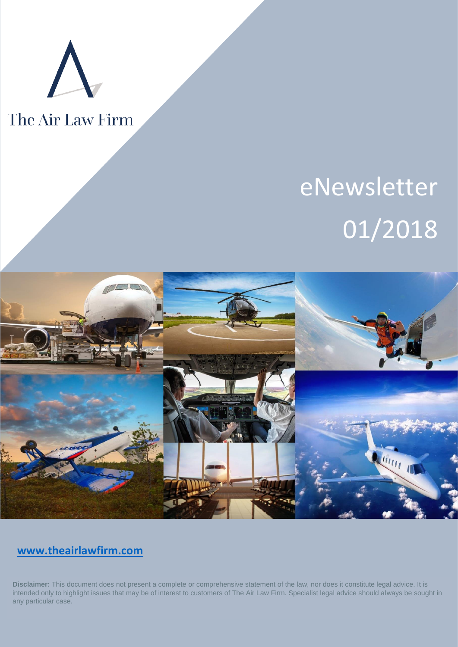

# The Air Law Firm

# eNewsletter 01/2018



## **[www.theairlawfirm.com](http://www.theairlawfirm.com/)**

**Disclaimer:** This document does not present a complete or comprehensive statement of the law, nor does it constitute legal advice. It is intended only to highlight issues that may be of interest to customers of The Air Law Firm. Specialist legal advice should always be sought in any particular case.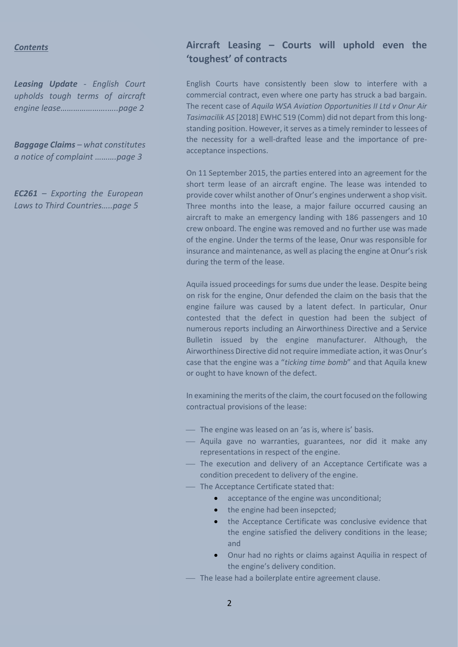#### *Contents*

*Leasing Update - English Court upholds tough terms of aircraft engine lease………………….…..page 2*

*Baggage Claims – what constitutes a notice of complaint ……….page 3*

*EC261 – Exporting the European Laws to Third Countries…..page 5*

### **Aircraft Leasing – Courts will uphold even the 'toughest' of contracts**

English Courts have consistently been slow to interfere with a commercial contract, even where one party has struck a bad bargain. The recent case of *Aquila WSA Aviation Opportunities II Ltd v Onur Air Tasimacilik AS* [2018] EWHC 519 (Comm) did not depart from this longstanding position. However, it serves as a timely reminder to lessees of the necessity for a well-drafted lease and the importance of preacceptance inspections.

On 11 September 2015, the parties entered into an agreement for the short term lease of an aircraft engine. The lease was intended to provide cover whilst another of Onur's engines underwent a shop visit. Three months into the lease, a major failure occurred causing an aircraft to make an emergency landing with 186 passengers and 10 crew onboard. The engine was removed and no further use was made of the engine. Under the terms of the lease, Onur was responsible for insurance and maintenance, as well as placing the engine at Onur's risk during the term of the lease.

Aquila issued proceedings for sums due under the lease. Despite being on risk for the engine, Onur defended the claim on the basis that the engine failure was caused by a latent defect. In particular, Onur contested that the defect in question had been the subject of numerous reports including an Airworthiness Directive and a Service Bulletin issued by the engine manufacturer. Although, the Airworthiness Directive did not require immediate action, it was Onur's case that the engine was a "*ticking time bomb*" and that Aquila knew or ought to have known of the defect.

In examining the merits of the claim, the court focused on the following contractual provisions of the lease:

- ⎯ The engine was leased on an 'as is, where is' basis.
- Aquila gave no warranties, guarantees, nor did it make any representations in respect of the engine.
- ⎯ The execution and delivery of an Acceptance Certificate was a condition precedent to delivery of the engine.
- ⎯ The Acceptance Certificate stated that:
	- acceptance of the engine was unconditional;
	- the engine had been insepcted;
	- the Acceptance Certificate was conclusive evidence that the engine satisfied the delivery conditions in the lease; and
	- Onur had no rights or claims against Aquilia in respect of the engine's delivery condition.
- The lease had a boilerplate entire agreement clause.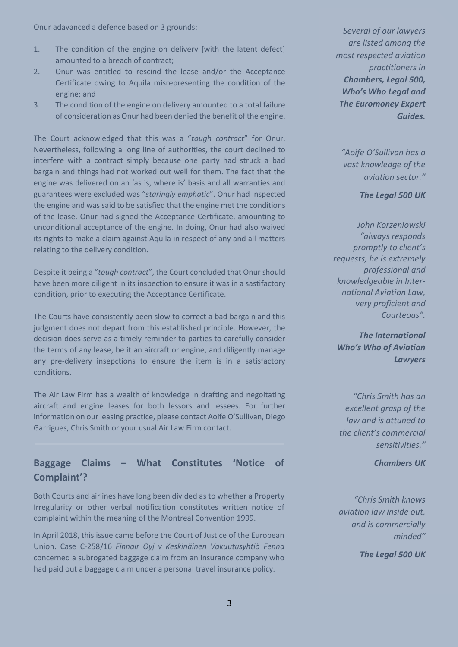Onur adavanced a defence based on 3 grounds:

- 1. The condition of the engine on delivery [with the latent defect] amounted to a breach of contract;
- 2. Onur was entitled to rescind the lease and/or the Acceptance Certificate owing to Aquila misrepresenting the condition of the engine; and
- 3. The condition of the engine on delivery amounted to a total failure of consideration as Onur had been denied the benefit of the engine.

The Court acknowledged that this was a "*tough contract*" for Onur. Nevertheless, following a long line of authorities, the court declined to interfere with a contract simply because one party had struck a bad bargain and things had not worked out well for them. The fact that the engine was delivered on an 'as is, where is' basis and all warranties and guarantees were excluded was "*staringly emphatic*". Onur had inspected the engine and was said to be satisfied that the engine met the conditions of the lease. Onur had signed the Acceptance Certificate, amounting to unconditional acceptance of the engine. In doing, Onur had also waived its rights to make a claim against Aquila in respect of any and all matters relating to the delivery condition.

Despite it being a "*tough contract*", the Court concluded that Onur should have been more diligent in its inspection to ensure it was in a sastifactory condition, prior to executing the Acceptance Certificate.

The Courts have consistently been slow to correct a bad bargain and this judgment does not depart from this established principle. However, the decision does serve as a timely reminder to parties to carefully consider the terms of any lease, be it an aircraft or engine, and diligently manage any pre-delivery insepctions to ensure the item is in a satisfactory conditions.

The Air Law Firm has a wealth of knowledge in drafting and negoitating aircraft and engine leases for both lessors and lessees. For further information on our leasing practice, please contact Aoife O'Sullivan, Diego Garrigues, Chris Smith or your usual Air Law Firm contact.

#### **Baggage Claims – What Constitutes 'Notice of Complaint'?**

Both Courts and airlines have long been divided as to whether a Property Irregularity or other verbal notification constitutes written notice of complaint within the meaning of the Montreal Convention 1999.

In April 2018, this issue came before the Court of Justice of the European Union. Case C-258/16 *Finnair Oyj v Keskinäinen Vakuutusyhtiö Fenna* concerned a subrogated baggage claim from an insurance company who had paid out a baggage claim under a personal travel insurance policy.

*Several of our lawyers are listed among the most respected aviation practitioners in Chambers, Legal 500, Who's Who Legal and The Euromoney Expert Guides.* 

*"Aoife O'Sullivan has a vast knowledge of the aviation sector."*

*The Legal 500 UK*

*John Korzeniowski "always responds promptly to client's requests, he is extremely professional and knowledgeable in International Aviation Law, very proficient and Courteous".* 

*The International Who's Who of Aviation Lawyers*

*"Chris Smith has an excellent grasp of the law and is attuned to the client's commercial sensitivities."*

*Chambers UK*

*"Chris Smith knows aviation law inside out, and is commercially minded"*

*The Legal 500 UK*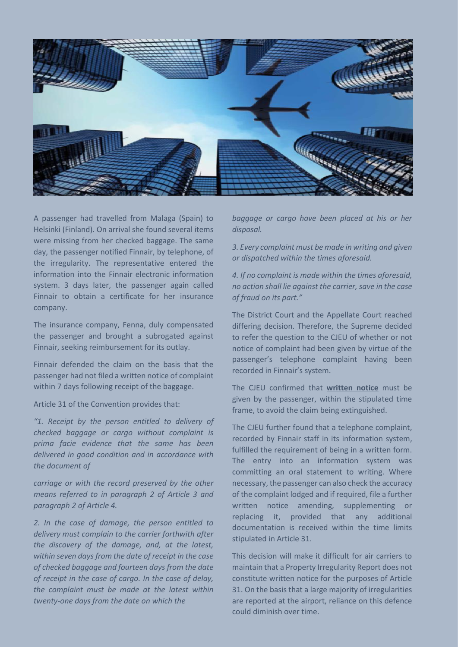

A passenger had travelled from Malaga (Spain) to Helsinki (Finland). On arrival she found several items were missing from her checked baggage. The same day, the passenger notified Finnair, by telephone, of the irregularity. The representative entered the information into the Finnair electronic information system. 3 days later, the passenger again called Finnair to obtain a certificate for her insurance company.

The insurance company, Fenna, duly compensated the passenger and brought a subrogated against Finnair, seeking reimbursement for its outlay.

Finnair defended the claim on the basis that the passenger had not filed a written notice of complaint within 7 days following receipt of the baggage.

Article 31 of the Convention provides that:

*"1. Receipt by the person entitled to delivery of checked baggage or cargo without complaint is prima facie evidence that the same has been delivered in good condition and in accordance with the document of* 

*carriage or with the record preserved by the other means referred to in paragraph 2 of Article 3 and paragraph 2 of Article 4.* 

*2. In the case of damage, the person entitled to delivery must complain to the carrier forthwith after the discovery of the damage, and, at the latest, within seven days from the date of receipt in the case of checked baggage and fourteen days from the date of receipt in the case of cargo. In the case of delay, the complaint must be made at the latest within twenty-one days from the date on which the*

*baggage or cargo have been placed at his or her disposal.* 

*3. Every complaint must be made in writing and given or dispatched within the times aforesaid.* 

*4. If no complaint is made within the times aforesaid, no action shall lie against the carrier, save in the case of fraud on its part."*

The District Court and the Appellate Court reached differing decision. Therefore, the Supreme decided to refer the question to the CJEU of whether or not notice of complaint had been given by virtue of the passenger's telephone complaint having been recorded in Finnair's system.

The CJEU confirmed that **written notice** must be given by the passenger, within the stipulated time frame, to avoid the claim being extinguished.

The CJEU further found that a telephone complaint, recorded by Finnair staff in its information system, fulfilled the requirement of being in a written form. The entry into an information system was committing an oral statement to writing. Where necessary, the passenger can also check the accuracy of the complaint lodged and if required, file a further written notice amending, supplementing or replacing it, provided that any additional documentation is received within the time limits stipulated in Article 31.

This decision will make it difficult for air carriers to maintain that a Property Irregularity Report does not constitute written notice for the purposes of Article 31. On the basis that a large majority of irregularities are reported at the airport, reliance on this defence could diminish over time.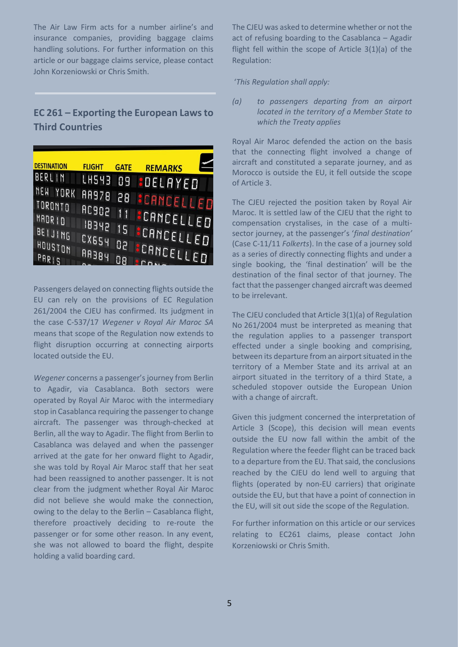The Air Law Firm acts for a number airline's and insurance companies, providing baggage claims handling solutions. For further information on this article or our baggage claims service, please contact John Korzeniowski or Chris Smith.

### **EC 261 – Exporting the European Laws to Third Countries**

| <b>DESTINATION</b>  | <b>FLIGHT</b>  | <b>GATE</b> | <b>REMARKS</b>                  |
|---------------------|----------------|-------------|---------------------------------|
| BERLIN              |                |             | LH543 09 <mark>B</mark> DELAYED |
| NEW YORK<br>TORONTO | <b>AA978</b>   |             | 28 CANCELLED                    |
| MADR ID             | <b>AC902</b>   |             | 11 <b>SCANCELLED</b>            |
| BEIJING             | IB342<br>CX654 |             | 15 <b>:</b> CANCELLED           |
| HOUSTON<br>PARIS    | <b>HASAR</b>   | 50          | <b>SCANCELLED</b>               |

Passengers delayed on connecting flights outside the EU can rely on the provisions of EC Regulation 261/2004 the CJEU has confirmed. Its judgment in the case C-537/17 *Wegener v Royal Air Maroc SA* means that scope of the Regulation now extends to flight disruption occurring at connecting airports located outside the EU.

*Wegener* concerns a passenger's journey from Berlin to Agadir, via Casablanca. Both sectors were operated by Royal Air Maroc with the intermediary stop in Casablanca requiring the passenger to change aircraft. The passenger was through-checked at Berlin, all the way to Agadir. The flight from Berlin to Casablanca was delayed and when the passenger arrived at the gate for her onward flight to Agadir, she was told by Royal Air Maroc staff that her seat had been reassigned to another passenger. It is not clear from the judgment whether Royal Air Maroc did not believe she would make the connection, owing to the delay to the Berlin – Casablanca flight, therefore proactively deciding to re-route the passenger or for some other reason. In any event, she was not allowed to board the flight, despite holding a valid boarding card.

The CJEU was asked to determine whether or not the act of refusing boarding to the Casablanca – Agadir flight fell within the scope of Article 3(1)(a) of the Regulation:

#### '*This Regulation shall apply:*

*(a) to passengers departing from an airport located in the territory of a Member State to which the Treaty applies*

Royal Air Maroc defended the action on the basis that the connecting flight involved a change of aircraft and constituted a separate journey, and as Morocco is outside the EU, it fell outside the scope of Article 3.

The CJEU rejected the position taken by Royal Air Maroc. It is settled law of the CJEU that the right to compensation crystalises, in the case of a multisector journey, at the passenger's '*final destination'* (Case C-11/11 *Folkerts*). In the case of a journey sold as a series of directly connecting flights and under a single booking, the 'final destination' will be the destination of the final sector of that journey. The fact that the passenger changed aircraft was deemed to be irrelevant.

The CJEU concluded that Article 3(1)(a) of Regulation No 261/2004 must be interpreted as meaning that the regulation applies to a passenger transport effected under a single booking and comprising, between its departure from an airport situated in the territory of a Member State and its arrival at an airport situated in the territory of a third State, a scheduled stopover outside the European Union with a change of aircraft.

Given this judgment concerned the interpretation of Article 3 (Scope), this decision will mean events outside the EU now fall within the ambit of the Regulation where the feeder flight can be traced back to a departure from the EU. That said, the conclusions reached by the CJEU do lend well to arguing that flights (operated by non-EU carriers) that originate outside the EU, but that have a point of connection in the EU, will sit out side the scope of the Regulation.

For further information on this article or our services relating to EC261 claims, please contact John Korzeniowski or Chris Smith.